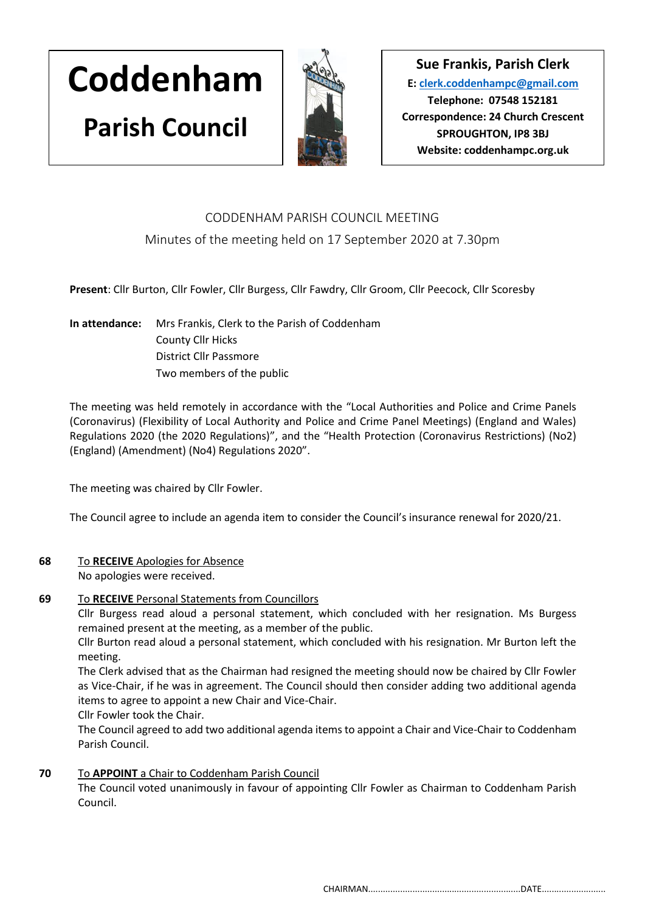# **Coddenham Parish Council**



**Sue Frankis, Parish Clerk E: [clerk.coddenhampc@gmail.com](mailto:clerk.coddenhampc@gmail.com) Telephone: 07548 152181 Correspondence: 24 Church Crescent SPROUGHTON, IP8 3BJ Website: coddenhampc.org.uk**

# CODDENHAM PARISH COUNCIL MEETING

# Minutes of the meeting held on 17 September 2020 at 7.30pm

**Present**: Cllr Burton, Cllr Fowler, Cllr Burgess, Cllr Fawdry, Cllr Groom, Cllr Peecock, Cllr Scoresby

**In attendance:** Mrs Frankis, Clerk to the Parish of Coddenham County Cllr Hicks District Cllr Passmore Two members of the public

The meeting was held remotely in accordance with the "Local Authorities and Police and Crime Panels (Coronavirus) (Flexibility of Local Authority and Police and Crime Panel Meetings) (England and Wales) Regulations 2020 (the 2020 Regulations)", and the "Health Protection (Coronavirus Restrictions) (No2) (England) (Amendment) (No4) Regulations 2020".

The meeting was chaired by Cllr Fowler.

The Council agree to include an agenda item to consider the Council's insurance renewal for 2020/21.

## **68** To **RECEIVE** Apologies for Absence

No apologies were received.

#### **69** To **RECEIVE** Personal Statements from Councillors

Cllr Burgess read aloud a personal statement, which concluded with her resignation. Ms Burgess remained present at the meeting, as a member of the public.

Cllr Burton read aloud a personal statement, which concluded with his resignation. Mr Burton left the meeting.

The Clerk advised that as the Chairman had resigned the meeting should now be chaired by Cllr Fowler as Vice-Chair, if he was in agreement. The Council should then consider adding two additional agenda items to agree to appoint a new Chair and Vice-Chair.

Cllr Fowler took the Chair.

The Council agreed to add two additional agenda items to appoint a Chair and Vice-Chair to Coddenham Parish Council.

## **70** To **APPOINT** a Chair to Coddenham Parish Council

The Council voted unanimously in favour of appointing Cllr Fowler as Chairman to Coddenham Parish Council.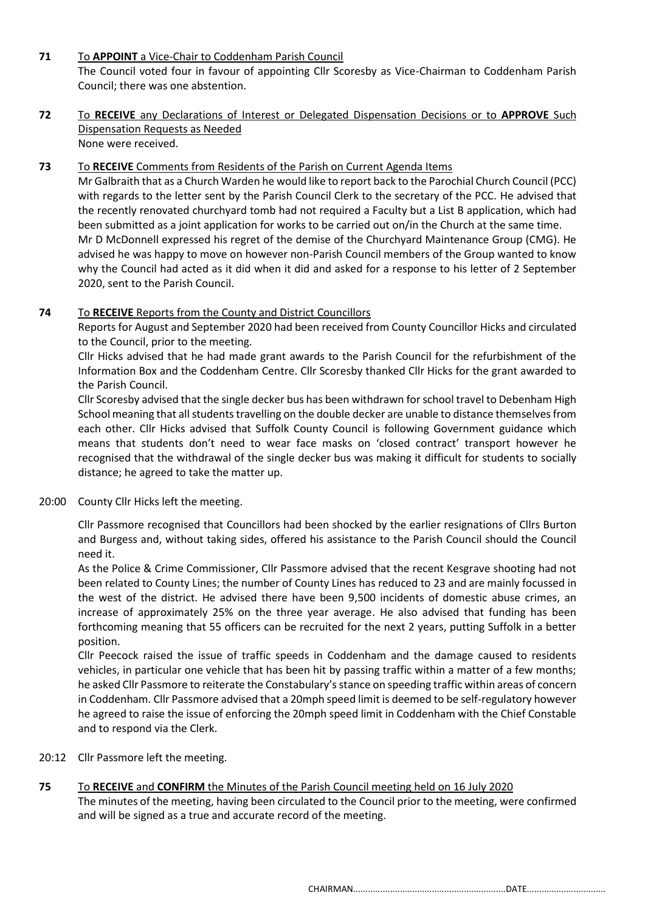#### **71** To **APPOINT** a Vice-Chair to Coddenham Parish Council

The Council voted four in favour of appointing Cllr Scoresby as Vice-Chairman to Coddenham Parish Council; there was one abstention.

#### **72** To **RECEIVE** any Declarations of Interest or Delegated Dispensation Decisions or to **APPROVE** Such Dispensation Requests as Needed None were received.

#### **73** To **RECEIVE** Comments from Residents of the Parish on Current Agenda Items

Mr Galbraith that as a Church Warden he would like to report back to the Parochial Church Council (PCC) with regards to the letter sent by the Parish Council Clerk to the secretary of the PCC. He advised that the recently renovated churchyard tomb had not required a Faculty but a List B application, which had been submitted as a joint application for works to be carried out on/in the Church at the same time. Mr D McDonnell expressed his regret of the demise of the Churchyard Maintenance Group (CMG). He advised he was happy to move on however non-Parish Council members of the Group wanted to know why the Council had acted as it did when it did and asked for a response to his letter of 2 September 2020, sent to the Parish Council.

#### **74** To **RECEIVE** Reports from the County and District Councillors

Reports for August and September 2020 had been received from County Councillor Hicks and circulated to the Council, prior to the meeting.

Cllr Hicks advised that he had made grant awards to the Parish Council for the refurbishment of the Information Box and the Coddenham Centre. Cllr Scoresby thanked Cllr Hicks for the grant awarded to the Parish Council.

Cllr Scoresby advised that the single decker bus has been withdrawn for school travel to Debenham High School meaning that all students travelling on the double decker are unable to distance themselves from each other. Cllr Hicks advised that Suffolk County Council is following Government guidance which means that students don't need to wear face masks on 'closed contract' transport however he recognised that the withdrawal of the single decker bus was making it difficult for students to socially distance; he agreed to take the matter up.

#### 20:00 County Cllr Hicks left the meeting.

Cllr Passmore recognised that Councillors had been shocked by the earlier resignations of Cllrs Burton and Burgess and, without taking sides, offered his assistance to the Parish Council should the Council need it.

As the Police & Crime Commissioner, Cllr Passmore advised that the recent Kesgrave shooting had not been related to County Lines; the number of County Lines has reduced to 23 and are mainly focussed in the west of the district. He advised there have been 9,500 incidents of domestic abuse crimes, an increase of approximately 25% on the three year average. He also advised that funding has been forthcoming meaning that 55 officers can be recruited for the next 2 years, putting Suffolk in a better position.

Cllr Peecock raised the issue of traffic speeds in Coddenham and the damage caused to residents vehicles, in particular one vehicle that has been hit by passing traffic within a matter of a few months; he asked Cllr Passmore to reiterate the Constabulary's stance on speeding traffic within areas of concern in Coddenham. Cllr Passmore advised that a 20mph speed limit is deemed to be self-regulatory however he agreed to raise the issue of enforcing the 20mph speed limit in Coddenham with the Chief Constable and to respond via the Clerk.

#### 20:12 Cllr Passmore left the meeting.

#### **75** To **RECEIVE** and **CONFIRM** the Minutes of the Parish Council meeting held on 16 July 2020 The minutes of the meeting, having been circulated to the Council prior to the meeting, were confirmed and will be signed as a true and accurate record of the meeting.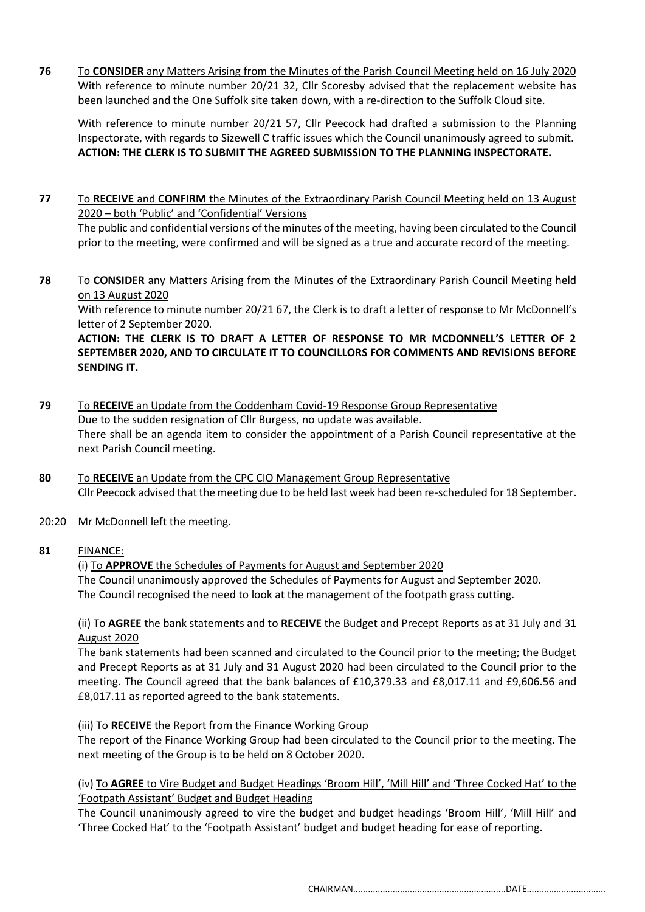**76** To **CONSIDER** any Matters Arising from the Minutes of the Parish Council Meeting held on 16 July 2020 With reference to minute number 20/21 32, Cllr Scoresby advised that the replacement website has been launched and the One Suffolk site taken down, with a re-direction to the Suffolk Cloud site.

With reference to minute number 20/21 57, Cllr Peecock had drafted a submission to the Planning Inspectorate, with regards to Sizewell C traffic issues which the Council unanimously agreed to submit. **ACTION: THE CLERK IS TO SUBMIT THE AGREED SUBMISSION TO THE PLANNING INSPECTORATE.**

**77** To **RECEIVE** and **CONFIRM** the Minutes of the Extraordinary Parish Council Meeting held on 13 August 2020 – both 'Public' and 'Confidential' Versions

The public and confidential versions of the minutes of the meeting, having been circulated to the Council prior to the meeting, were confirmed and will be signed as a true and accurate record of the meeting.

**78** To **CONSIDER** any Matters Arising from the Minutes of the Extraordinary Parish Council Meeting held on 13 August 2020

With reference to minute number 20/21 67, the Clerk is to draft a letter of response to Mr McDonnell's letter of 2 September 2020.

**ACTION: THE CLERK IS TO DRAFT A LETTER OF RESPONSE TO MR MCDONNELL'S LETTER OF 2 SEPTEMBER 2020, AND TO CIRCULATE IT TO COUNCILLORS FOR COMMENTS AND REVISIONS BEFORE SENDING IT.**

- **79** To **RECEIVE** an Update from the Coddenham Covid-19 Response Group Representative Due to the sudden resignation of Cllr Burgess, no update was available. There shall be an agenda item to consider the appointment of a Parish Council representative at the next Parish Council meeting.
- **80** To **RECEIVE** an Update from the CPC CIO Management Group Representative Cllr Peecock advised that the meeting due to be held last week had been re-scheduled for 18 September.
- 20:20 Mr McDonnell left the meeting.

#### **81** FINANCE:

(i) To **APPROVE** the Schedules of Payments for August and September 2020 The Council unanimously approved the Schedules of Payments for August and September 2020. The Council recognised the need to look at the management of the footpath grass cutting.

#### (ii) To **AGREE** the bank statements and to **RECEIVE** the Budget and Precept Reports as at 31 July and 31 August 2020

The bank statements had been scanned and circulated to the Council prior to the meeting; the Budget and Precept Reports as at 31 July and 31 August 2020 had been circulated to the Council prior to the meeting. The Council agreed that the bank balances of £10,379.33 and £8,017.11 and £9,606.56 and £8,017.11 as reported agreed to the bank statements.

#### (iii) To **RECEIVE** the Report from the Finance Working Group

The report of the Finance Working Group had been circulated to the Council prior to the meeting. The next meeting of the Group is to be held on 8 October 2020.

#### (iv) To **AGREE** to Vire Budget and Budget Headings 'Broom Hill', 'Mill Hill' and 'Three Cocked Hat' to the 'Footpath Assistant' Budget and Budget Heading

The Council unanimously agreed to vire the budget and budget headings 'Broom Hill', 'Mill Hill' and 'Three Cocked Hat' to the 'Footpath Assistant' budget and budget heading for ease of reporting.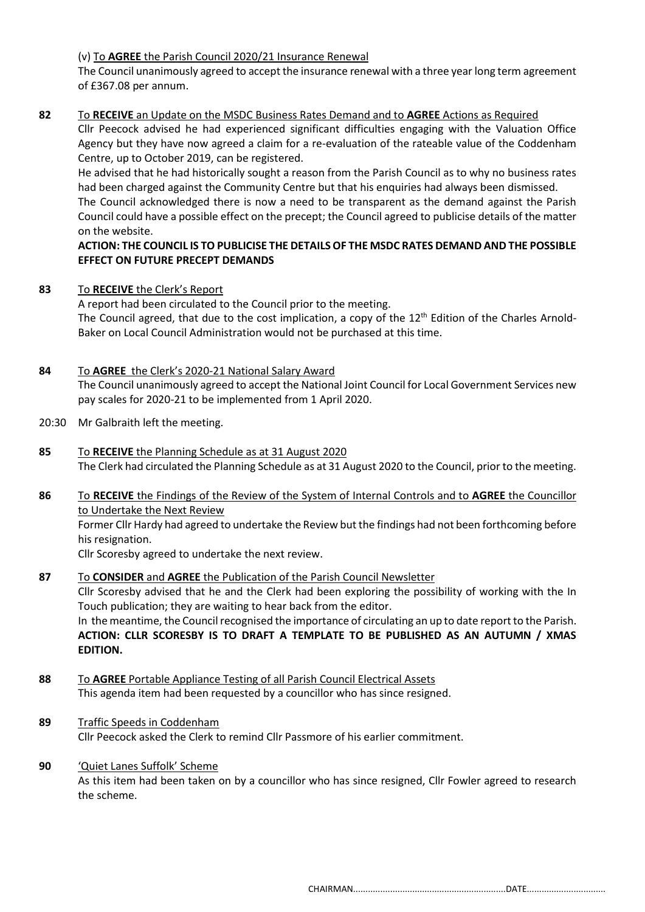#### (v) To **AGREE** the Parish Council 2020/21 Insurance Renewal

The Council unanimously agreed to accept the insurance renewal with a three year long term agreement of £367.08 per annum.

#### **82** To **RECEIVE** an Update on the MSDC Business Rates Demand and to **AGREE** Actions as Required

Cllr Peecock advised he had experienced significant difficulties engaging with the Valuation Office Agency but they have now agreed a claim for a re-evaluation of the rateable value of the Coddenham Centre, up to October 2019, can be registered.

He advised that he had historically sought a reason from the Parish Council as to why no business rates had been charged against the Community Centre but that his enquiries had always been dismissed. The Council acknowledged there is now a need to be transparent as the demand against the Parish Council could have a possible effect on the precept; the Council agreed to publicise details of the matter on the website.

#### **ACTION: THE COUNCIL IS TO PUBLICISE THE DETAILS OF THE MSDC RATES DEMAND AND THE POSSIBLE EFFECT ON FUTURE PRECEPT DEMANDS**

#### **83** To **RECEIVE** the Clerk's Report

A report had been circulated to the Council prior to the meeting. The Council agreed, that due to the cost implication, a copy of the 12<sup>th</sup> Edition of the Charles Arnold-Baker on Local Council Administration would not be purchased at this time.

#### **84** To **AGREE** the Clerk's 2020-21 National Salary Award

The Council unanimously agreed to accept the National Joint Council for Local Government Services new pay scales for 2020-21 to be implemented from 1 April 2020.

- 20:30 Mr Galbraith left the meeting.
- **85** To **RECEIVE** the Planning Schedule as at 31 August 2020 The Clerk had circulated the Planning Schedule as at 31 August 2020 to the Council, prior to the meeting.
- **86** To **RECEIVE** the Findings of the Review of the System of Internal Controls and to **AGREE** the Councillor to Undertake the Next Review Former Cllr Hardy had agreed to undertake the Review but the findings had not been forthcoming before his resignation.

Cllr Scoresby agreed to undertake the next review.

#### **87** To **CONSIDER** and **AGREE** the Publication of the Parish Council Newsletter

Cllr Scoresby advised that he and the Clerk had been exploring the possibility of working with the In Touch publication; they are waiting to hear back from the editor.

In the meantime, the Council recognised the importance of circulating an up to date report to the Parish. **ACTION: CLLR SCORESBY IS TO DRAFT A TEMPLATE TO BE PUBLISHED AS AN AUTUMN / XMAS EDITION.**

- **88** To **AGREE** Portable Appliance Testing of all Parish Council Electrical Assets This agenda item had been requested by a councillor who has since resigned.
- **89** Traffic Speeds in Coddenham Cllr Peecock asked the Clerk to remind Cllr Passmore of his earlier commitment.
- **90** 'Quiet Lanes Suffolk' Scheme As this item had been taken on by a councillor who has since resigned, Cllr Fowler agreed to research the scheme.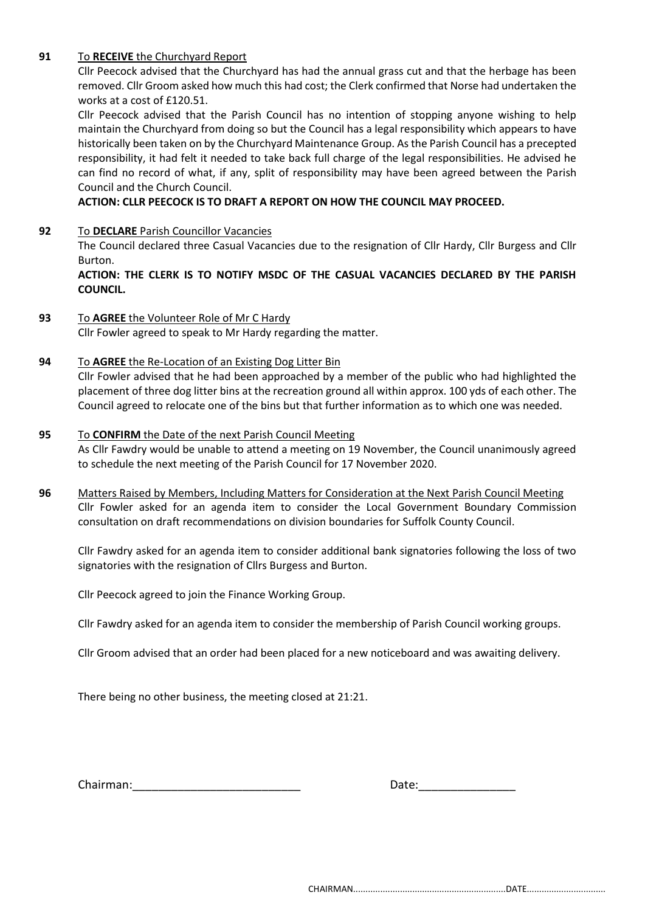#### **91** To **RECEIVE** the Churchyard Report

Cllr Peecock advised that the Churchyard has had the annual grass cut and that the herbage has been removed. Cllr Groom asked how much this had cost; the Clerk confirmed that Norse had undertaken the works at a cost of £120.51.

Cllr Peecock advised that the Parish Council has no intention of stopping anyone wishing to help maintain the Churchyard from doing so but the Council has a legal responsibility which appears to have historically been taken on by the Churchyard Maintenance Group. As the Parish Council has a precepted responsibility, it had felt it needed to take back full charge of the legal responsibilities. He advised he can find no record of what, if any, split of responsibility may have been agreed between the Parish Council and the Church Council.

**ACTION: CLLR PEECOCK IS TO DRAFT A REPORT ON HOW THE COUNCIL MAY PROCEED.**

**92** To **DECLARE** Parish Councillor Vacancies

The Council declared three Casual Vacancies due to the resignation of Cllr Hardy, Cllr Burgess and Cllr Burton.

**ACTION: THE CLERK IS TO NOTIFY MSDC OF THE CASUAL VACANCIES DECLARED BY THE PARISH COUNCIL.**

**93** To **AGREE** the Volunteer Role of Mr C Hardy Cllr Fowler agreed to speak to Mr Hardy regarding the matter.

#### **94** To **AGREE** the Re-Location of an Existing Dog Litter Bin

Cllr Fowler advised that he had been approached by a member of the public who had highlighted the placement of three dog litter bins at the recreation ground all within approx. 100 yds of each other. The Council agreed to relocate one of the bins but that further information as to which one was needed.

#### **95** To **CONFIRM** the Date of the next Parish Council Meeting

As Cllr Fawdry would be unable to attend a meeting on 19 November, the Council unanimously agreed to schedule the next meeting of the Parish Council for 17 November 2020.

**96** Matters Raised by Members, Including Matters for Consideration at the Next Parish Council Meeting Cllr Fowler asked for an agenda item to consider the Local Government Boundary Commission consultation on draft recommendations on division boundaries for Suffolk County Council.

Cllr Fawdry asked for an agenda item to consider additional bank signatories following the loss of two signatories with the resignation of Cllrs Burgess and Burton.

Cllr Peecock agreed to join the Finance Working Group.

Cllr Fawdry asked for an agenda item to consider the membership of Parish Council working groups.

Cllr Groom advised that an order had been placed for a new noticeboard and was awaiting delivery.

There being no other business, the meeting closed at 21:21.

Chairman: et al. 2010 and 2010 and 2010 and 2010 and 2010 and 2010 and 2010 and 2010 and 2010 and 2010 and 201